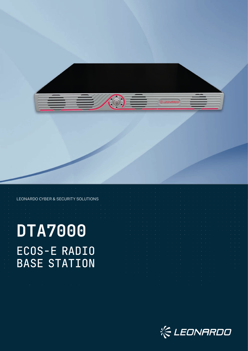

#### LEONARDO CYBER & SECURITY SOLUTIONS

# **DTA7000** ECOS-E RADIO BASE STATION

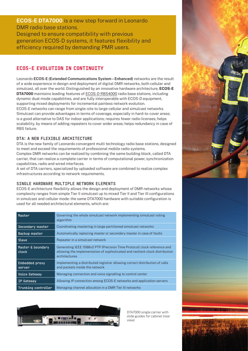**ECOS-E DTA7000** is a new step forward in Leonardo DMR radio base stations. Designed to ensure compatibility with previous generation ECOS-D systems, it features flexibility and

efficiency required by demanding PMR users.

### ECOS-E EVOLUTION IN CONTINUITY

Leonardo **ECOS-E (Extended Communications System – Enhanced)** networks are the result of a wide experience in design and deployment of digital DMR networks, both cellular and simulcast, all over the world. Distinguished by an innovative hardware architecture, **ECOS-E DTA7000** maintains leading features of ECOS-D RBS4000 radio base stations, including dynamic dual-mode capabilities, and are fully interoperable with ECOS-D equipment, supporting mixed deployments for incremental painless network evolution. ECOS-E networks can range from single-site to large cellular and simulcast networks. Simulcast can provide advantages in terms of coverage, especially in hard-to-cover areas; is a good alternative to DAS for indoor applications; requires fewer radio licenses; helps scalability, by means of adding repeaters to cover wider areas; helps redundancy in case of RBS failure.

### DTA: A NEW FLEXIBLE ARCHITECTURE

DTA is the new family of Leonardo convergent multi technology radio base stations, designed to meet and exceed the requirements of professional mobile radio systems. Complex DMR networks can be realized by combining the same building block, called DTA

carrier, that can realize a complete carrier in terms of computational power, synchronization capabilities, radio and wired interfaces.

A set of DTA carriers, specialized by uploaded software are combined to realize complex infrastructures according to network requirements.

### SINGLE HARDWARE MULTIPLE NETWORK ELEMENTS

ECOS-E architecture flexibility allows the design and deployment of DMR networks whose complexity ranges from simple Tier II simulcast up to mixed Tier II and Tier III configurations in simulcast and cellular mode: the same DTA7000 hardware with suitable configuration is used for all needed architectural elements, which are:

| Master                          | Governing the whole simulcast network implementing simulcast voting<br>algorithm                                                                                           |  |
|---------------------------------|----------------------------------------------------------------------------------------------------------------------------------------------------------------------------|--|
| Secondary master                | Coordinating mastering in large partitioned simulcast networks                                                                                                             |  |
| Backup master                   | Automatically replacing master or secondary master in case of faults                                                                                                       |  |
| Slave                           | Repeater in a simulcast network                                                                                                                                            |  |
| Master & boundary<br>clock      | Generating IEEE 1588v2 PTP (Precision Time Protocol) clock reference and<br>allowing the implementation of sophisticated and resilient clock distribution<br>architectures |  |
| <b>Embedded proxy</b><br>server | Implementing a distributed registrar allowing correct distribution of calls<br>and packets inside the network                                                              |  |
| <b>Voice Gateway</b>            | Managing connection and voice signalling to control center                                                                                                                 |  |
| IP Gateway                      | Allowing IP connection among ECOS-E networks and application servers                                                                                                       |  |
| Trunking controller             | Managing channel allocation in a DMR Tier III networks                                                                                                                     |  |



DTA7000 single carrier with slide guides for cabinet (rear view)

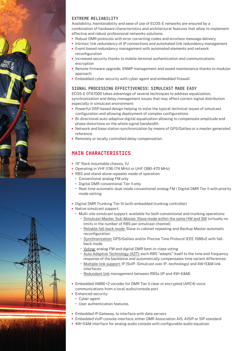

Availability, maintanability and ease of use of ECOS-E networks are ensured by a combination of hardware characteristics and architectural features that allow to implement effective and robust professional networks solutions:

- **•** Robust DMR protocols with error correcting codes and errorless message delivery
- **•** Intrinsic link redundancy of IP connections and automated link redundancy management
- **•** Event-based redundancy management with automated elements and network reconfiguration
- **•** Increased security thanks to mobile terminal authentication and communications encryption
- **•** Remote firmware upgrade, SNMP management and eased maintenance thanks to modular approach
- **•** Embedded cyber security with cyber agent and embedded firewall.

### SIGNAL PROCESSING EFFECTIVENESS: SIMULCAST MADE EASY

ECOS-E DTA7000 takes advantage of several techniques to address equalization, synchronization and delay management issues that may affect correct signal distribution especially in simulcast environment:

- **•** Powerful DSP-based design helping to solve the typical technical issues of simulcast configuration and allowing deployment of complex configurations
- **•** Bi-directional auto-adaptive digital equalization allowing to compensate amplitude and phase distortions on the whole signal bandwidth
- **•** Network and base station synchronization by means of GPS/Galileo or a master-generated reference
- **•** Remotely or locally controlled delay compensation.

## MAIN CHARACTERISTICS

- **•** 19" Rack mountable chassis, 1U
- **•** Operating in VHF (136-174 MHz) or UHF (380-470 MHz)
- **•** RBS and stand-alone repeater mode of operation:
	- **•** Conventional analog FM only
	- **•** Digital DMR conventional Tier II only
	- **•** Real-time automatic dual-mode conventional analog FM / Digital DMR Tier II with priority mode setting.
- **•** Digital DMR Trunking Tier III (with embedded trunking controller)
- **•** Native simulcast support:
	- **•** Multi-site simulcast support: available for both conventional and trunking operations: **−** Simulcast Master, Sub-Master, Slave mode within the same HW and SW (virtually no limits in the number of RBS per simulcast channel)
		- **−** Reliable fall-back mode: Slave in-cabinet repeating and Backup Master automatic reconfiguration
		- **−** Synchronization: GPS/Galileo and/or Precise Time Protocol IEEE 1588v2 with fallback mode
		- **−** Voting: analog FM and digital DMR best-in-class voting
		- **−** Auto Adaptive Technology (A2T): each RBS "adapts" itself to the time and frequency response of the backbone and automatically compensates time variant differences
		- **−** Multiple-link support: IP (SoIP Simulcast over IP technology) and 4W+E&M link interfaces
		- **−** Redundant link management between RBSs (IP and 4W+E&M).
- **•** Embedded AMBE+2 vocoder for DMR Tier II clear or encrypted (ARC4) voice communications from a local audio/console port.
- **•** Enhanced security:
	- **•** Cyber agent
	- **•** User authentication features.
- **•** Embedded IP Gateway, to interface with data servers
- **•** Embedded VoIP console interface, either DMR Association AIS, AISIP or SIP standard
	- **•** 4W+E&M interface for analog audio console with configurable audio equalizer.